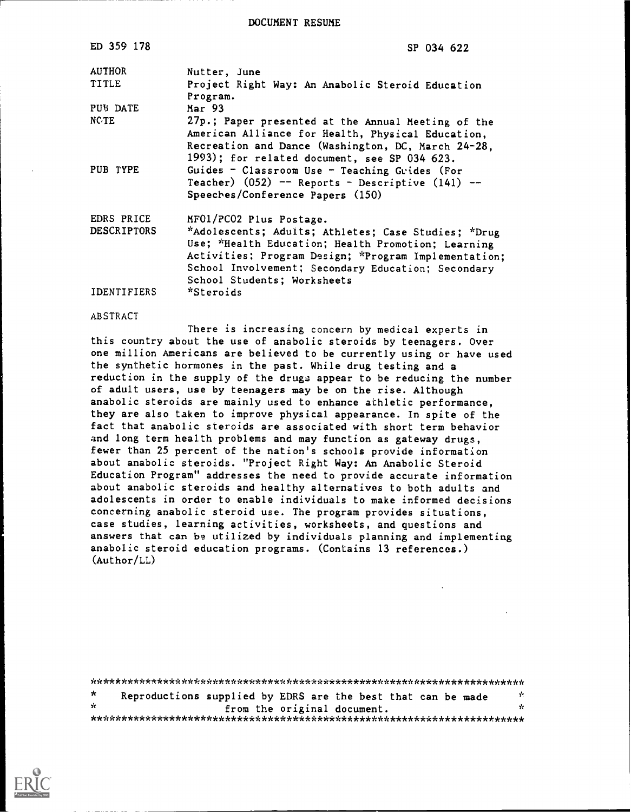DOCUMENT RESUME

| ED 359 178           | SP 034 622                                                                                                                                                                                                                                             |
|----------------------|--------------------------------------------------------------------------------------------------------------------------------------------------------------------------------------------------------------------------------------------------------|
| <b>AUTHOR</b>        | Nutter, June                                                                                                                                                                                                                                           |
| TITLE                | Project Right Way: An Anabolic Steroid Education<br>Program.                                                                                                                                                                                           |
| PU <sub>3</sub> DATE | Mar 93                                                                                                                                                                                                                                                 |
| <b>NCTE</b>          | 27p.; Paper presented at the Annual Meeting of the<br>American Alliance for Health, Physical Education,<br>Recreation and Dance (Washington, DC, March 24-28,<br>1993); for related document, see SP 034 623.                                          |
| PUB TYPE             | Guides - Classroom Use - Teaching Guides (For<br>Teacher) $(052)$ -- Reports - Descriptive $(141)$ --<br>Speeches/Conference Papers (150)                                                                                                              |
| EDRS PRICE           | MF01/PC02 Plus Postage.                                                                                                                                                                                                                                |
| <b>DESCRIPTORS</b>   | *Adolescents; Adults; Athletes; Case Studies; *Drug<br>Use; "Health Education; Health Promotion; Learning<br>Activities; Program Design; *Program Implementation;<br>School Involvement; Secondary Education; Secondary<br>School Students; Worksheets |
| <b>IDENTIFIERS</b>   | *Steroids                                                                                                                                                                                                                                              |

#### ABSTRACT

There is increasing concern by medical experts in this country about the use of anabolic steroids by teenagers. Over one million Americans are believed to be currently using or have used the synthetic hormones in the past. While drug testing and a reduction in the supply of the drugs appear to be reducing the number of adult users, use by teenagers may be on the rise. Although anabolic steroids are mainly used to enhance athletic performance, they are also taken to improve physical appearance. In spite of the fact that anabolic steroids are associated with short term behavior and long term health problems and may function as gateway drugs, fewer than 25 percent of the nation's schools provide information about anabolic steroids. "Project Right Way: An Anabolic Steroid Education Program" addresses the need to provide accurate information about anabolic steroids and healthy alternatives to both adults and adolescents in order to enable individuals to make informed decisions concerning anabolic steroid use. The program provides situations, case studies, learning activities, worksheets, and questions and answers that can be utilized by individuals planning and implementing anabolic steroid education programs. (Contains 13 references.) (Author/LL)

\*\*\*\*\*\*\*\*\*\*\*\*\*\*\*\*\*\*\*\*\*\*\*\*\*\*\*\*\*\*\*\*\*\*\*\*\*\*\*\*\*\*\*\*\*\*\*\*\*\*\*\*\*\*\*\*\*\*\*\*\*\*\*\*\*\*\*\*\*\*\*  $\star$ Reproductions supplied by EDRS are the best that can be made  $*$ from the original document. \*\*\*\*\*\*\*\*\*\*\*\*\*\*\*\*\*\*\*\*\*\*\*\*\*\*\*\*\*\*\*\*\*\*\*\*\*\*\*\*\*\*\*\*\*\*\*\*\*\*\*\*\*\*\*\*\*\*\*\*\*\*\*\*\*\*\*\*\*\*\*

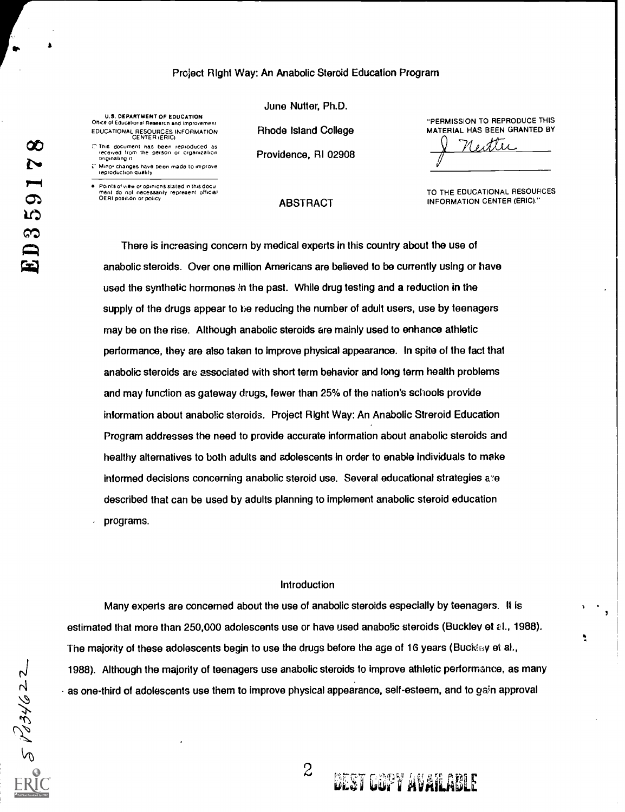#### Project Right Way: An Anabolic Steroid Education Program

U.S. DEPARTMENT OF EDUCATION Office of Educational Research and Improvement EDUCATIONAL RESOURCES INFORMATION **Rhode Island College**<br>CENTER (ERIC)

- This document has been reproduced as<br>received from the person or organization received from the person or organization **Providence, RI 02908**
- $\Gamma$  Minor changes have been made to improve.<br>reproduction quality

**Franchis of view or opinions stated in INS docu**<br>
ment do not necessarily represent official<br>
OBSTRACT<br>
ABSTRACT

June Nutter, Ph.D.

# "PERMISSION TO REPRODUCE THIS MATERIAL HAS BEEN GRANTED BY

TO THE EDUCATIONAL RESOURCES INFORMATION CENTER (ERIC)."

There is increasing concern by medical experts in this country about the use of anabolic steroids. Over one million Americans are believed to be currently using or have used the synthetic hormones in the past. While drug testing and a reduction in the supply of the drugs appear to tie reducing the number of adult users, use by teenagers may be on the rise. Although anabolic steroids are mainly used to enhance athletic performance, they are also taken to improve physical appearance. In spite of the fact that anabolic steroids are associated with short term behavior and long term health problems and may function as gateway drugs, fewer than 25% of the nation's schools provide information about anabolic steroids. Project Right Way: An Anabolic Streroid Education Program addresses the need to provide accurate information about anabolic steroids and healthy alternatives to both adults and adolescents in order to enable individuals to make informed decisions concerning anabolic steroid use. Several educational strategies  $a/e$ described that can be used by adults planning to implement anabolic steroid education programs.

#### Introduction

rJ Many experts are concerned about the use of anabolic steroids especially by teenagers. It is estimated that more than 250,000 adolescents use or have used anabolic steroids (Buckley et al., 1988). The majority of these adolescents begin to use the drugs before the age of 16 years (Buck;  $\alpha$ y et al., 1988). Although the majority of teenagers use anabolic steroids to improve athletic performance, as many as one-third of adolescents use them to improve physical appearance, self-esteem, and to gain approval

2 rest gepy available

A

 $\sim$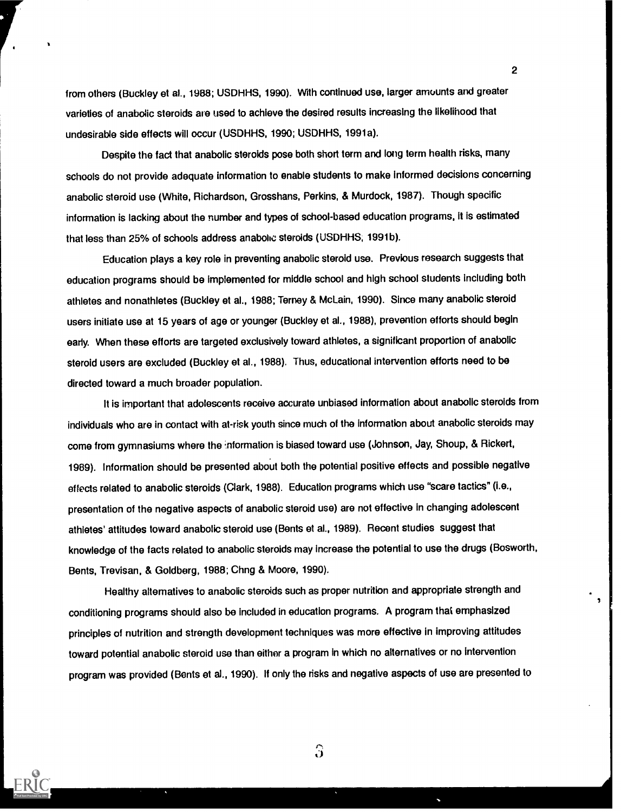from others (Buckley et al., 1988; USDHHS, 1990). With continued use, larger amounts and greater varieties of anabolic steroids are used to achieve the desired results increasing the likelihood that undesirable side effects will occur (USDHHS, 1990; USDHHS, 1991a).

Despite the fact that anabolic steroids pose both short term and long term health risks, many schools do not provide adequate information to enable students to make informed decisions concerning anabolic steroid use (White, Richardson, Grosshans, Perkins, & Murdock, 1987). Though specific information is lacking about the number and types of school-based education programs, it is estimated that less than 25% of schools address anabolic steroids (USDHHS, 1991b).

Education plays a key role in preventing anabolic steroid use. Previous research suggests that education programs should be implemented for middle school and high school students including both athletes and nonathletes (Buckley et al., 1988; Terney & McLain, 1990). Since many anabolic steroid users initiate use at 15 years of age or younger (Buckley et al., 1988), prevention efforts should begin early. When these efforts are targeted exclusively toward athletes, a significant proportion of anabolic steroid users are excluded (Buckley et al., 1988). Thus, educational intervention efforts need to be directed toward a much broader population.

It is important that adolescents receive accurate unbiased information about anabolic steroids from individuals who are in contact with at-risk youth since much of the information about anabolic steroids may come from gymnasiums where the 'nformation is biased toward use (Johnson, Jay, Shoup, & Rickert, 1989). Information should be presented about both the potential positive effects and possible negative effects related to anabolic steroids (Clark, 1988). Education programs which use "scare tactics" (i.e., presentation of the negative aspects of anabolic steroid use) are not effective in changing adolescent athletes' attitudes toward anabolic steroid use (Bents et al., 1989). Recent studies suggest that knowledge of the facts related to anabolic steroids may increase the potential to use the drugs (Bosworth, Bents, Trevisan, & Goldberg, 1988; Chng & Moore, 1990).

Healthy alternatives to anabolic steroids such as proper nutrition and appropriate strength and conditioning programs should also be included in education programs. A program that emphasized principles of nutrition and strength development techniques was more effective in improving attitudes toward potential anabolic steroid use than either a program In which no alternatives or no intervention program was provided (Bents et al., 1990). If only the risks and negative aspects of use are presented to



 $\Omega$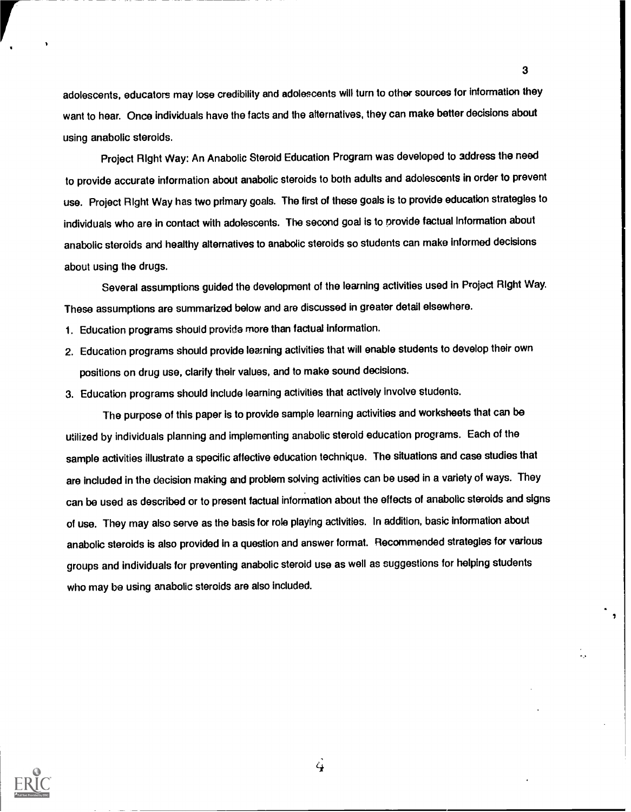adolescents, educators may lose credibility and adolescents will turn to other sources for Information they want to hear. Once individuals have the facts and the alternatives, they can make better decisions about using anabolic steroids.

3

 $\ddot{\phantom{1}}$ 

Project Right Way: An Anabolic Steroid Education Program was developed to address the need to provide accurate information about anabolic steroids to both adults and adolescents in order to prevent use. Project Right Way has two primary goals. The first of these goals is to provide education strategies to individuals who are in contact with adolescents. The second goal is to provide factual Information about anabolic steroids and healthy alternatives to anabolic steroids so students can make informed decisions about using the drugs.

Several assumptions guided the development of the learning activities used in Project Right Way. These assumptions are summarized below and are discussed in greater detail elsewhere.

- 1. Education programs should provide more than factual information.
- 2. Education programs should provide learning activities that will enable students to develop their own positions on drug use, clarify their values, and to make sound decisions.
- 3. Education programs should include learning activities that actively involve students.

The purpose of this paper is to provide sample learning activities and worksheets that can be utilized by individuals planning and implementing anabolic steroid education programs. Each of the sample activities illustrate a specific affective education technique. The situations and case studies that are included in the decision making and problem solving activities can be used in a variety of ways. They can be used as described or to present factual information about the effects of anabolic steroids and signs of use. They may also serve as the basis for role playing activities. In addition, basic information about anabolic steroids is also provided in a question and answer format. Recommended strategies for various groups and individuals for preventing anabolic steroid use as well as suggestions for helping students who may be using anabolic steroids are also included.



 $\zeta$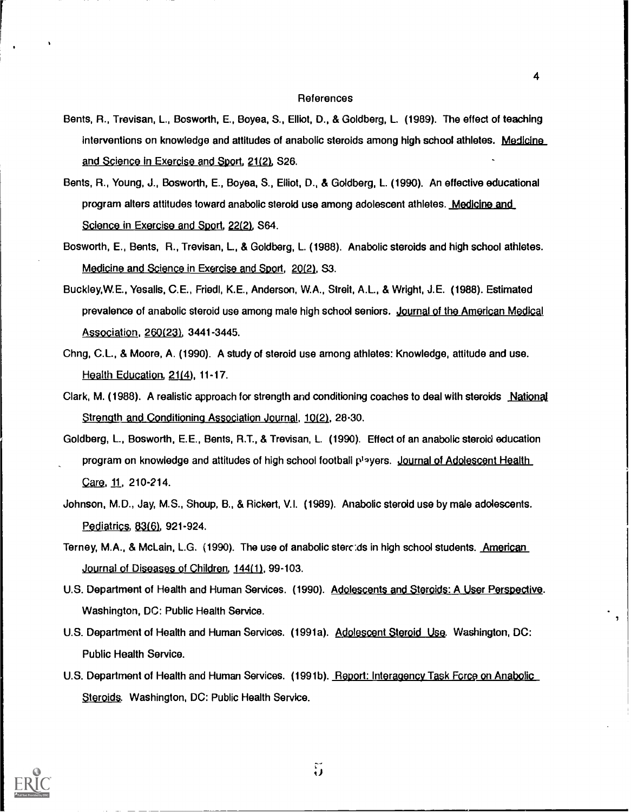#### **References**

- Bents, R., Trevisan, L., Bosworth, E., Boyea, S., Elliot, D., & Goldberg, L. (1989). The effect of teaching interventions on knowledge and attitudes of anabolic steroids among high school athletes. Medicine and Science in Exercise and Sport, 21(2), S26.
- Bents, R., Young, J., Bosworth, E., Boyea, S., Elliot, D., & Goldberg, L. (1990). An effective educational program alters attitudes toward anabolic steroid use among adolescent athletes. Medicine and Science in Exercise and Sport, 22(2), S64.
- Bosworth, E., Bents, R., Trevisan, L, & Goldberg, L. (1988). Anabolic steroids and high school athletes. Medicine and Science in Exercise and Sport, 20(2), S3.
- Buckley,W.E., Yesalis, C.E., Fried!, K.E., Anderson, W.A., Streit, A.L., & Wright, J.E. (1988). Estimated prevalence of anabolic steroid use among male high school seniors. Journal of the American Medical Association, 260(23), 3441-3445.
- Chng, C.L., & Moore, A. (1990). A study of steroid use among athletes: Knowledge, attitude and use. Health Education, 21(4), 11-17.
- Clark, M. (1988). A realistic approach for strength and conditioning coaches to deal with steroids National Strength and Conditioning Association Journal, 10(2), 28-30.
- Goldberg, L., Bosworth, E.E., Bents, R.T., & Trevisan, L. (1990). Effect of an anabolic steroid education program on knowledge and attitudes of high school football players. Journal of Adolescent Health Care, 11, 210-214.
- Johnson, M.D., Jay, M.S., Shoup, B., & Rickert, V.I. (1989). Anabolic steroid use by male adolescents. Pediatrics, 83(6), 921-924.
- Terney, M.A., & McLain, L.G. (1990). The use of anabolic sterc :ds in high school students. American Journal of Diseases of Children, 144(1), 99-103.
- U.S. Department of Health and Human Services. (1990). Adolescents and Steroids: A User Perspective. Washington, DC: Public Health Service.
- U.S. Department of Health and Human Services. (1991a). Adolescent Steroid Use. Washington, DC: Public Health Service.
- U.S. Department of Health and Human Services. (1991b). Report: Interagency Task Force on Anabolic Steroids. Washington, DC: Public Health Service.

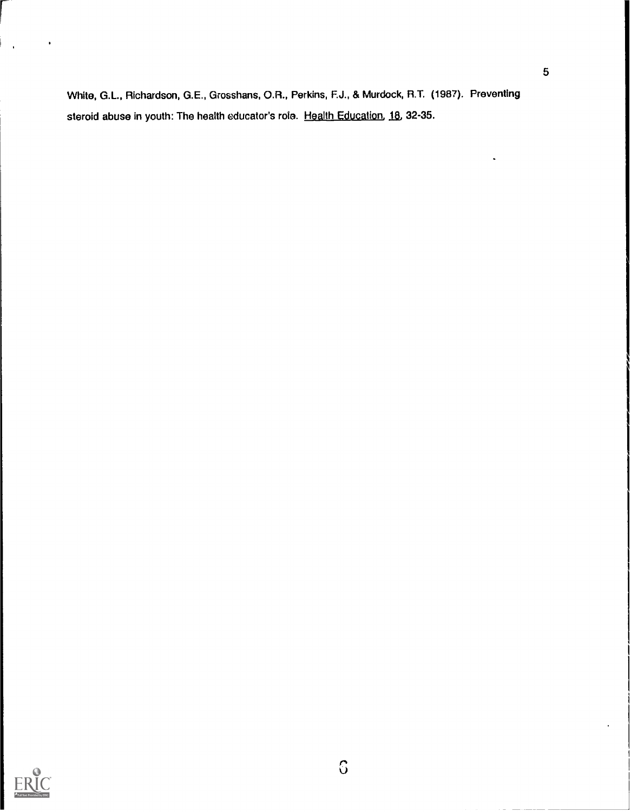White, G.L., Richardson, G.E., Grosshans, O.R., Perkins, F.J., & Murdock, R.T. (1957). Preventing steroid abuse in youth: The health educator's role. Health Education, 18, 32-35.

 $\overline{G}$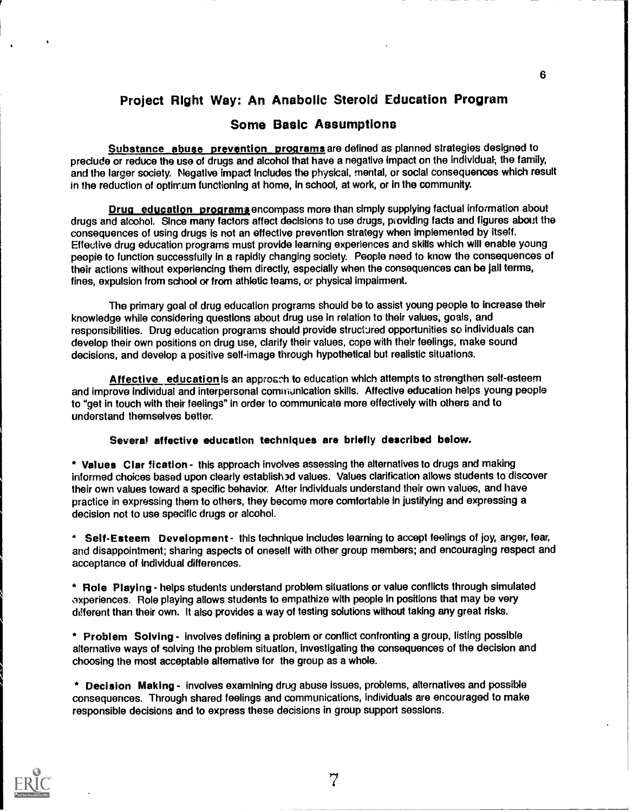# Project Right Way: An Anabolic Steroid Education Program

### Some Basic Assumptions

Substance abuse prevention programs are defined as planned strategies designed to preclude or reduce the use of drugs and alcohol that have a negative impact on the individual, the family, and the larger society. Negative impact includes the physical, mental, or social consequences which result in the reduction of optimum functioning at home, in school, at work, or in the community.

Drug education programs encompass more than simply supplying factual information about drugs and alcohol. Since many factors affect decisions to use drugs, providing facts and figures about the consequences of using drugs is not an effective prevention strategy when implemented by itself. Effective drug education programs must provide learning experiences and skills which will enable young people to function successfully in a rapidly changing society. People need to know the consequences of their actions without experiencing them directly, especially when the consequences can be jail terms, fines, expulsion from school or from athletic teams, or physical impairment.

The primary goal of drug education programs should be to assist young people to increase their knowledge while considering questions about drug use in relation to their values, goals, and responsibilities. Drug education programs should provide structured opportunities so individuals can develop their own positions on drug use, clarify their values, cope with their feelings, make sound decisions, and develop a positive self-image through hypothetical but realistic situations.

Affective education is an approach to education which attempts to strengthen self-esteem and improve individual and interpersonal communication skills. Affective education helps young people to "get in touch with their feelings" in order to communicate more effectively with others and to understand themselves better.

### Several affective education techniques are briefly described below.

\* Values Clar fication - this approach involves assessing the alternatives to drugs and making informed choices based upon clearly establishsd values. Values clarification allows students to discover their own values toward a specific behavior. After individuals understand their own values, and have practice in expressing them to others, they become more comfortable in justifying and expressing a decision not to use specific drugs or alcohol.

\* Self-Esteem Development- this technique includes learning to accept feelings of joy, anger, fear, and disappointment; sharing aspects of oneself with other group members; and encouraging respect and acceptance of individual differences.

\* Role Playing - helps students understand problem situations or value conflicts through simulated experiences. Role playing allows students to empathize with people in positions that may be very different than their own. It also provides a way of testing solutions without taking any great risks.

\* Problem Solving - involves defining a problem or conflict confronting a group, listing possible alternative ways of solving the problem situation, investigating the consequences of the decision and choosing the most acceptable alternative for the group as a whole.

\* Decision Making - involves examining drug abuse issues, problems, alternatives and possible consequences. Through shared feelings and communications, individuals are encouraged to make responsible decisions and to express these decisions in group support sessions.

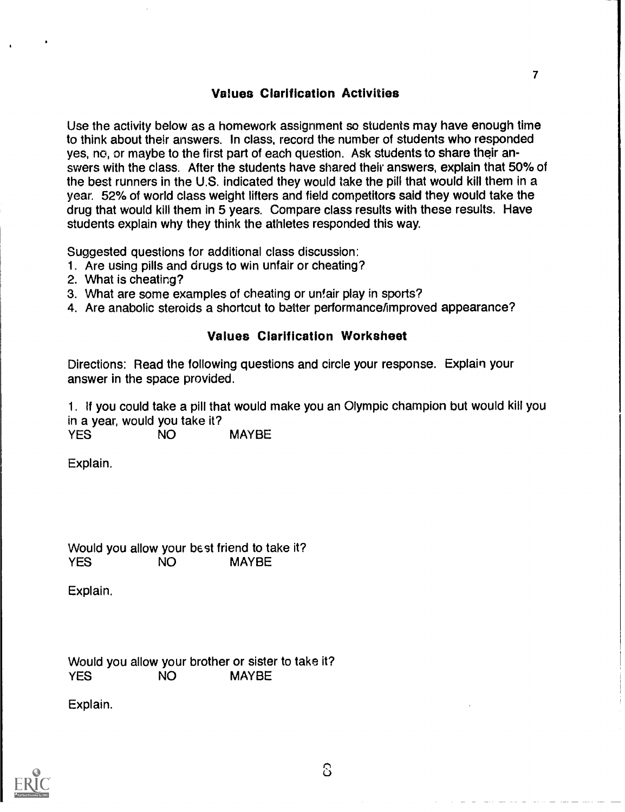# Values Clarification Activities

7

Use the activity below as a homework assignment so students may have enough time to think about their answers. In class, record the number of students who responded yes, no, or maybe to the first part of each question. Ask students to share their answers with the class. After the students have shared their answers, explain that 50% of the best runners in the U.S. indicated they would take the pill that would kill them in a year. 52% of world class weight lifters and field competitors said they would take the drug that would kill them in 5 years. Compare class results with these results. Have students explain why they think the athletes responded this way.

Suggested questions for additional class discussion:

- 1. Are using pills and drugs to win unfair or cheating?
- 2. What is cheating?
- 3. What are some examples of cheating or unfair play in sports?
- 4. Are anabolic steroids a shortcut to batter performance/improved appearance?

# Values Clarification Worksheet

Directions: Read the following questions and circle your response. Explain your answer in the space provided.

1. if you could take a pill that would make you an Olympic champion but would kill you in a year, would you take it?

YES NO MAYBE

Explain.

Would you allow your best friend to take it? YES NO MAYBE

Explain.

Would you allow your brother or sister to take it? YES NO MAYBE

Explain.

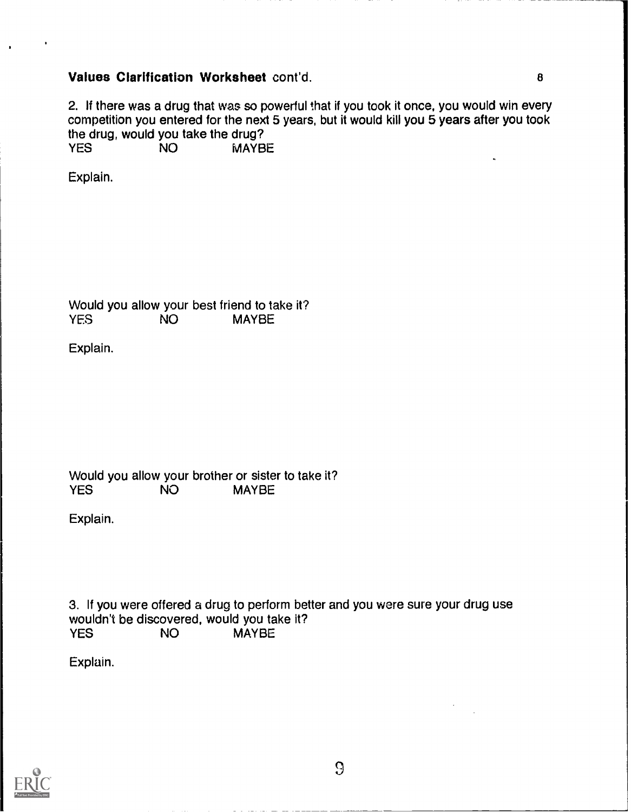# Values Clarification Worksheet cont'd. 8

2. If there was a drug that was so powerful that if you took it once, you would win every competition you entered for the next 5 years, but it would kill you 5 years after you took the drug, would you take the drug?<br>
YES NO MAYB **MAYBE** 

Explain.

Would you allow your best friend to take it? YES NO MAYBE

Explain.

Would you allow your brother or sister to take it? YES NO MAYBE

Explain.

3. If you were offered a drug to perform better and you were sure your drug use wouldn't be discovered, would you take it?<br>YES MO MAYBE **MAYBE** 

Explain.

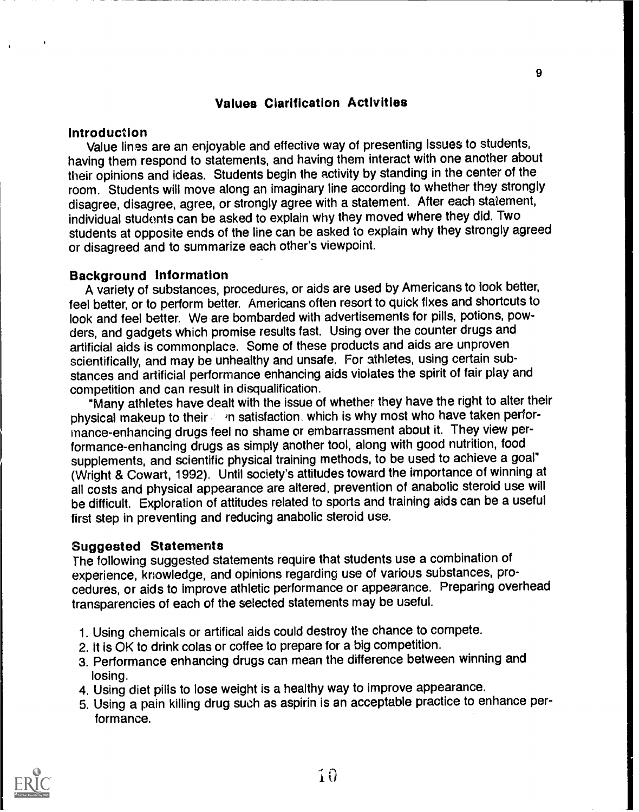# Values Clarification Activities

### **Introduction**

Value lines are an enjoyable and effective way of presenting issues to students, having them respond to statements, and having them interact with one another about their opinions and ideas. Students begin the activity by standing in the center of the room. Students will move along an imaginary line according to whether they strongly disagree, disagree, agree, or strongly agree with a statement. After each statement, individual students can be asked to explain why they moved where they did. Two students at opposite ends of the line can be asked to explain why they strongly agreed or disagreed and to summarize each other's viewpoint.

# Background Information

A variety of substances, procedures, or aids are used by Americans to look better, feel better, or to perform better. Americans often resort to quick fixes and shortcuts to look and feel better. We are bombarded with advertisements for pills, potions, powders, and gadgets which promise results fast. Using over the counter drugs and artificial aids is commonplace. Some of these products and aids are unproven scientifically, and may be unhealthy and unsafe. For athletes, using certain substances and artificial performance enhancing aids violates the spirit of fair play and competition and can result in disqualification.

"Many athletes have dealt with the issue of whether they have the right to alter their physical makeup to their 11 m satisfaction, which is why most who have taken performance-enhancing drugs feel no shame or embarrassment about it. They view performance-enhancing drugs as simply another tool, along with good nutrition, food supplements, and scientific physical training methods, to be used to achieve a goal" (Wright & Cowart, 1992). Until society's attitudes toward the importance of winning at all costs and physical appearance are altered, prevention of anabolic steroid use will be difficult. Exploration of attitudes related to sports and training aids can be a useful first step in preventing and reducing anabolic steroid use.

# Suggested Statements

The following suggested statements require that students use a combination of experience, knowledge, and opinions regarding use of various substances, procedures, or aids to improve athletic performance or appearance. Preparing overhead transparencies of each of the selected statements may be useful.

- 1. Using chemicals or artifical aids could destroy the chance to compete.
- 2. It is OK to drink colas or coffee to prepare for a big competition.
- 3. Performance enhancing drugs can mean the difference between winning and losing.
- 4. Using diet pills to lose weight is a healthy way to improve appearance.
- 5. Using a pain killing drug such as aspirin is an acceptable practice to enhance performance.

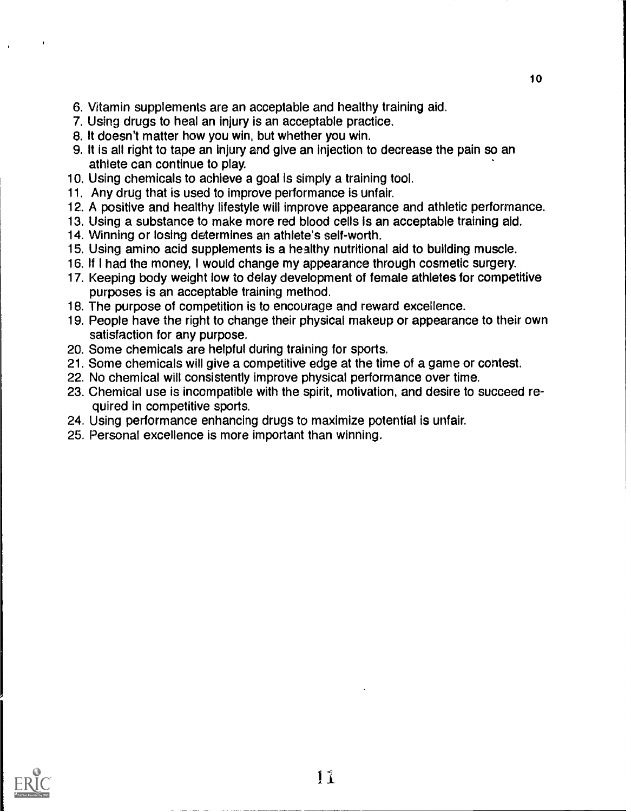- 6. Vitamin supplements are an acceptable and healthy training aid.
- 7. Using drugs to heal an injury is an acceptable practice.
- 8. It doesn't matter how you win, but whether you win.
- 9. It is all right to tape an injury and give an injection to decrease the pain so an athlete can continue to play.
- 10. Using chemicals to achieve a goal is simply a training tool.
- 11. Any drug that is used to improve performance is unfair.
- 12. A positive and healthy lifestyle will improve appearance and athletic performance.
- 13. Using a substance to make more red blood cells is an acceptable training aid.
- 14. Winning or losing determines an athlete's self-worth.
- 15. Using amino acid supplements is a healthy nutritional aid to building muscle.
- 16. If I had the money, I would change my appearance through cosmetic surgery.
- 17. Keeping body weight low to delay development of female athletes for competitive purposes is an acceptable training method.
- 18. The purpose of competition is to encourage and reward excellence.
- 19. People have the right to change their physical makeup or appearance to their own satisfaction for any purpose.
- 20. Some chemicals are helpful during training for sports.
- 21. Some chemicals will give a competitive edge at the time of a game or contest.
- 22. No chemical will consistently improve physical performance over time.
- 23. Chemical use is incompatible with the spirit, motivation, and desire to succeed required in competitive sports.
- 24. Using performance enhancing drugs to maximize potential is unfair.
- 25. Personal excellence is more important than winning.

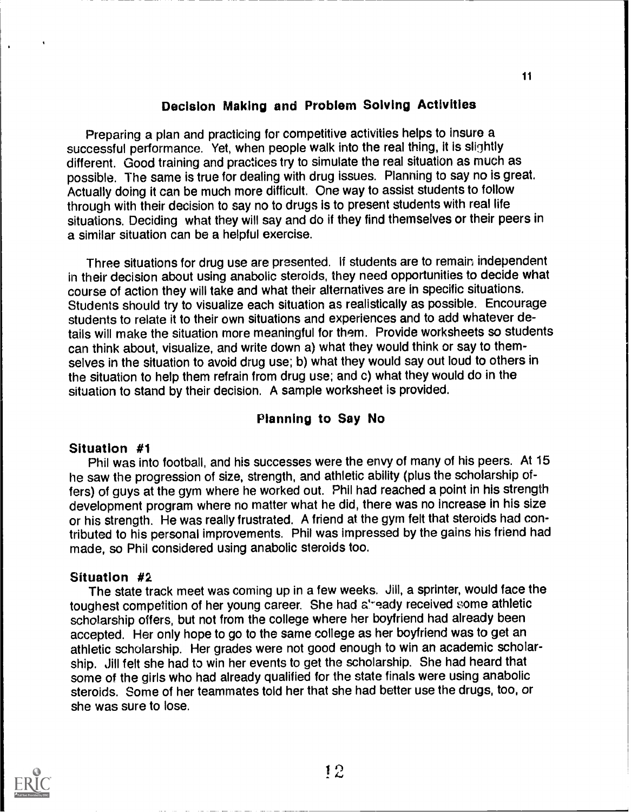# Decision Making and Problem Solving Activities

11

Preparing a plan and practicing for competitive activities helps to insure a successful performance. Yet, when people walk into the real thing, it is slightly different. Good training and practices try to simulate the real situation as much as possible. The same is true for dealing with drug issues. Planning to say no is great. Actually doing it can be much more difficult. One way to assist students to follow through with their decision to say no to drugs is to present students with real life situations. Deciding what they will say and do if they find themselves or their peers in a similar situation can be a helpful exercise.

Three situations for drug use are presented. if students are to remain independent in their decision about using anabolic steroids, they need opportunities to decide what course of action they will take and what their alternatives are in specific situations. Students should try to visualize each situation as realistically as possible. Encourage students to relate it to their own situations and experiences and to add whatever details will make the situation more meaningful for them. Provide worksheets so students can think about, visualize, and write down a) what they would think or say to themselves in the situation to avoid drug use; b) what they would say out loud to others in the situation to help them refrain from drug use; and c) what they would do in the situation to stand by their decision. A sample worksheet is provided.

# Planning to Say No

### Situation #1

Phil was into football, and his successes were the envy of many of his peers. At 15 he saw the progression of size, strength, and athletic ability (plus the scholarship offers) of guys at the gym where he worked out. Phil had reached a point in his strength development program where no matter what he did, there was no Increase in his size or his strength. He was really frustrated. A friend at the gym felt that steroids had contributed to his personal improvements. Phil was impressed by the gains his friend had made, so Phil considered using anabolic steroids too.

### Situation #2

The state track meet was coming up in a few weeks. Jill, a sprinter, would face the toughest competition of her young career. She had a'-eady received some athletic scholarship offers, but not from the college where her boyfriend had already been accepted. Her only hope to go to the same college as her boyfriend was to get an athletic scholarship. Her grades were not good enough to win an academic scholarship. Jill felt she had to win her events to get the scholarship. She had heard that some of the girls who had already qualified for the state finals were using anabolic steroids. Some of her teammates told her that she had better use the drugs, too, or she was sure to lose.

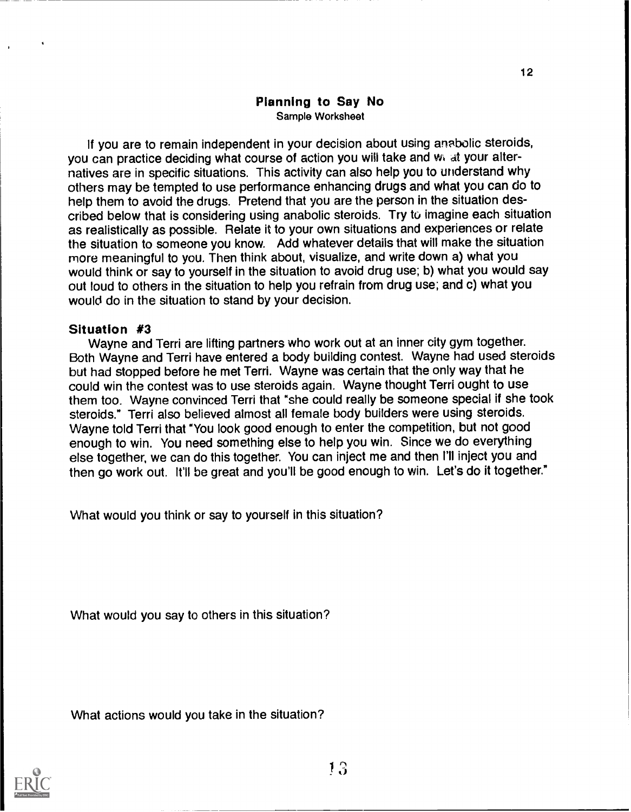# Planning to Say No Sample Worksheet

If you are to remain independent in your decision about using anabolic steroids, you can practice deciding what course of action you will take and what your alternatives are in specific situations. This activity can also help you to understand why others may be tempted to use performance enhancing drugs and what you can do to help them to avoid the drugs. Pretend that you are the person in the situation described below that is considering using anabolic steroids. Try to imagine each situation as realistically as possible. Relate it to your own situations and experiences or relate the situation to someone you know. Add whatever details that will make the situation more meaningful to you. Then think about, visualize, and write down a) what you would think or say to yourself in the situation to avoid drug use; b) what you would say out loud to others in the situation to help you refrain from drug use; and c) what you would do in the situation to stand by your decision.

### Situation #3

Wayne and Terri are lifting partners who work out at an inner city gym together. Both Wayne and Terri have entered a body building contest. Wayne had used steroids but had stopped before he met Terri. Wayne was certain that the only way that he could win the contest was to use steroids again. Wayne thought Terri ought to use them too. Wayne convinced Terri that "she could really be someone special if she took steroids." Terri also believed almost all female body builders were using steroids. Wayne told Terri that You look good enough to enter the competition, but not good enough to win. You need something else to help you win. Since we do everything else together, we can do this together. You can inject me and then I'll inject you and then go work out. It'll be great and you'll be good enough to win. Let's do it together."

What would you think or say to yourself in this situation?

What would you say to others in this situation?

What actions would you take in the situation?

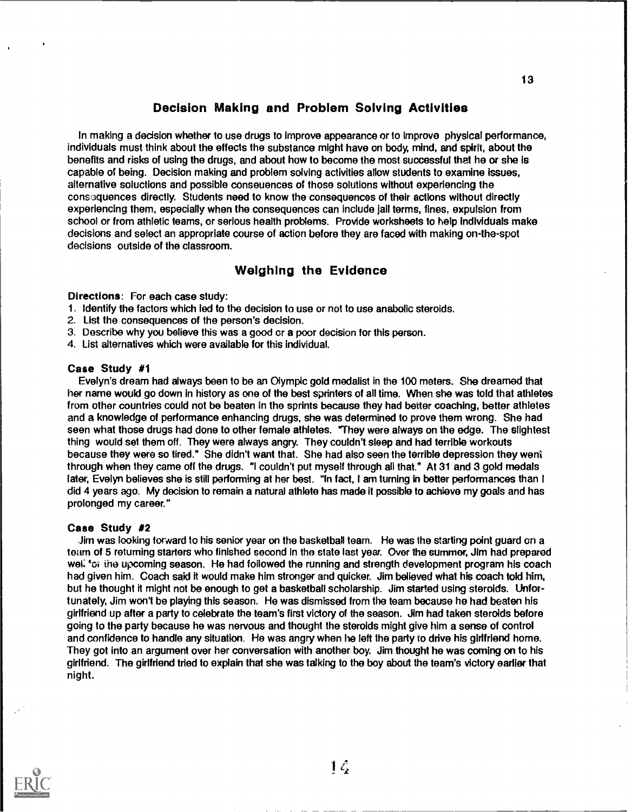### Decision Making and Problem Solving Activities

In making a decision whether to use drugs to improve appearance or to improve physical performance, individuals must think about the effects the substance might have on body, mind, and spirit, about the benefits and risks of using the drugs, and about how to become the most successful that he or she Is capable of being. Decision making and problem solving activities allow students to examine issues, alternative soluctions and possible conseuences of those solutions without experiencing the consequences directly. Students need to know the consequences of their actions without directly experiencing them, especially when the consequences can include jail terms, fines, expulsion from school or from athletic teams, or serious health problems. Provide worksheets to help individuals make decisions and select an appropriate course of action before they are faced with making on-the-spot decisions outside of the classroom.

### Weighing the Evidence

Directions: For each case study:

- 1. Identify the factors which led to the decision to use or not to use anabolic steroids.
- 2. List the consequences of the person's decision.
- 3. Describe why you believe this was a good or a poor decision for this person.
- 4. List alternatives which were available for this individual.

#### Case Study #1

Evelyn's dream had always been to be an Olympic gold medalist in the 100 meters. She dreamed that her name would go down in history as one of the best sprinters of all time. When she was told that athletes from other countries could not be beaten in the sprints because they had better coaching, better athletes and a knowledge of performance enhancing drugs, she was determined to prove them wrong. She had seen what those drugs had done to other female athletes. "They were always on the edge. The slightest thing would set them off. They were always angry. They couldn't sleep and had terrible workouts because they were so tired." She didn't want that. She had also seen the terrible depression they went through when they came off the drugs. "I couldn't put myself through all that." At 31 and 3 gold medals later, Evelyn believes she is still performing at her best. "In fact, I am turning in better performances than I did 4 years ago. My decision to remain a natural athlete has made it possible to achieve my goals and has prolonged my career."

#### Case Study #2

Jim was looking forward to his senior year on the basketball team. He was the starting point guard on a team of 5 returning starters who finished second in the state last year. Over the summer, Jim had prepared wel: '<sub>Di</sub> ine upcoming season. He had followed the running and strength development program his coach had given him. Coach said it would make him stronger and quicker. Jim believed what his coach told him, but he thought it might not be enough to get a basketball scholarship. Jim started using steroids. Unfortunately, Jim won't be playing this season. He was dismissed from the team because he had beaten his girlfriend up after a party to celebrate the team's first victory of the season. Jim had taken steroids before going to the party because he was nervous and thought the steroids might give him a sense of control and confidence to handle any situation. He was angry when he left the party to drive his girlfriend home. They got into an argument over her conversation with another boy. Jim thought he was coming on to his girlfriend. The girlfriend tried to explain that she was talking to the boy about the team's victory earlier that night.

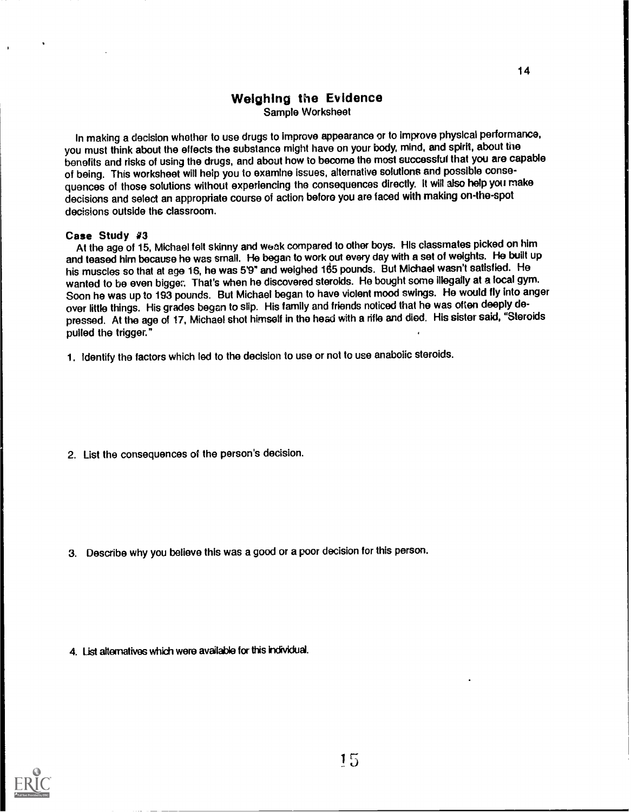### Weighing the Evidence Sample Worksheet

In making a decision whether to use drugs to improve appearance or to improve physical performance, you must think about the effects the substance might have on your body, mind, and spirit, about the benefits and risks of using the drugs, and about how to become the most successful that you are capable of being. This worksheet will help you to examine issues, alternative solutions and possible consequences of those solutions without experiencing the consequences directly. It will also help you make decisions and select an appropriate course of action before you are faced with making on-the-spot decisions outside the classroom.

### Case Study #3

At the age of 15, Michael felt skinny and weak compared to other boys. His classmates picked on him and teased him because he was small. He began to work out every day with a set of weights. He built up his muscles so that at age 16, he was 5'9" and weighed 165 pounds. But Michael wasn't satisfied. He wanted to be even bigge. That's when he discovered steroids. He bought some illegally at a local gym. Soon he was up to 193 pounds. But Michael began to have violent mood swings. He would fly into anger over little things. His grades began to slip. His family and friends noticed that he was often deeply depressed. At the age of 17, Michael shot himself in the head with a rifle and died. His sister said, "Steroids pulled the trigger."

1. Identify the factors which led to the decision to use or not to use anabolic steroids.

2. List the consequences of the person's decision.

3. Describe why you believe this was a good or a poor decision for this person.

4. List alternatives which were available for this individual.

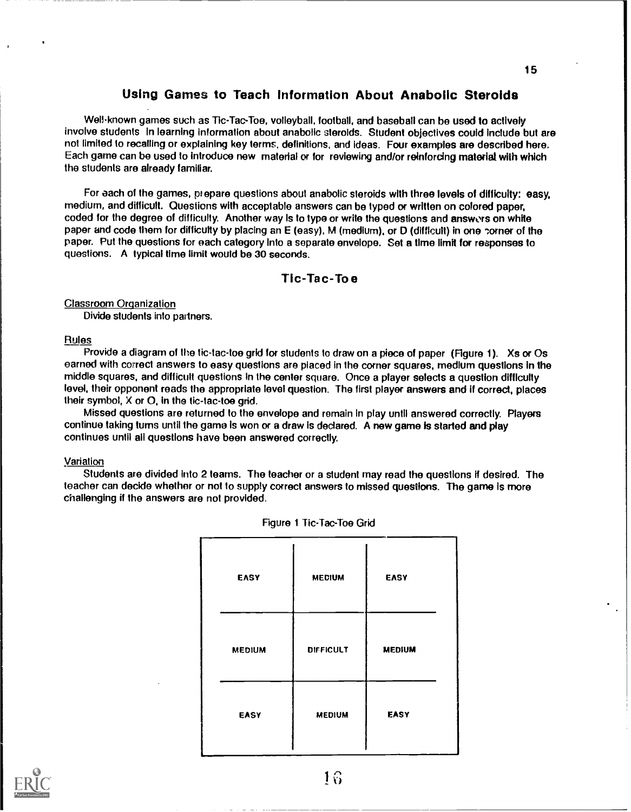### Using Games to Teach Information About Anabolic Steroids

Wel!-known games such as Tic-Tac-Toe, volleyball, football, and baseball can be used to actively involve students in learning information about anabolic steroids. Student objectives could Include but are not limited to recalling or explaining key terms, definitions, and ideas. Four examples are described here. Each game can be used to introduce new material or for reviewing and/or reinforcing material with which the students are already familiar.

For each of the games, pi epare questions about anabolic steroids with three levels of difficulty: easy, medium, and difficult. Questions with acceptable answers can be typed or written on colored paper, coded for the degree of difficulty. Another way is to type or write the questions and answers on white paper and code them for difficulty by placing an E (easy), M (medium), or D (difficult) in one porner of the paper. Put the questions for each category Into a separate envelope. Set a time limit for responses to questions. A typical time limit would be 30 seconds.

### Tic-Tac-To e

Classroom Organization Divide students into partners.

#### Rules

Provide a diagram of the tic-tac-toe grid for students to draw on a piece of paper (Figure 1). Xs or Os earned with correct answers to easy questions are placed in the corner squares, medium questions in the middle squares, and difficult questions in the center square. Once a player selects a question difficulty level, their opponent reads the appropriate level question. The first player answers and if correct, places their symbol, X or 0, in the tic-tac-toe grid.

Missed questions are returned to the envelope and remain in play until answered correctly. Players continue taking turns until the game is won or a draw is declared. A new game is started and play continues until all questions have been answered correctly.

#### Variation

Students are divided into 2 teams. The teacher or a student may read the questions if desired. The teacher can decide whether or not to supply correct answers to missed questions. The game Is more challenging if the answers are not provided.

| <b>EASY</b>   | <b>MEDIUM</b>    | <b>EASY</b>   |
|---------------|------------------|---------------|
| <b>MEDIUM</b> | <b>DIFFICULT</b> | <b>MEDIUM</b> |
| <b>EASY</b>   | <b>MEDIUM</b>    | EASY          |

Figure 1 Tic-Tac-Toe Grid

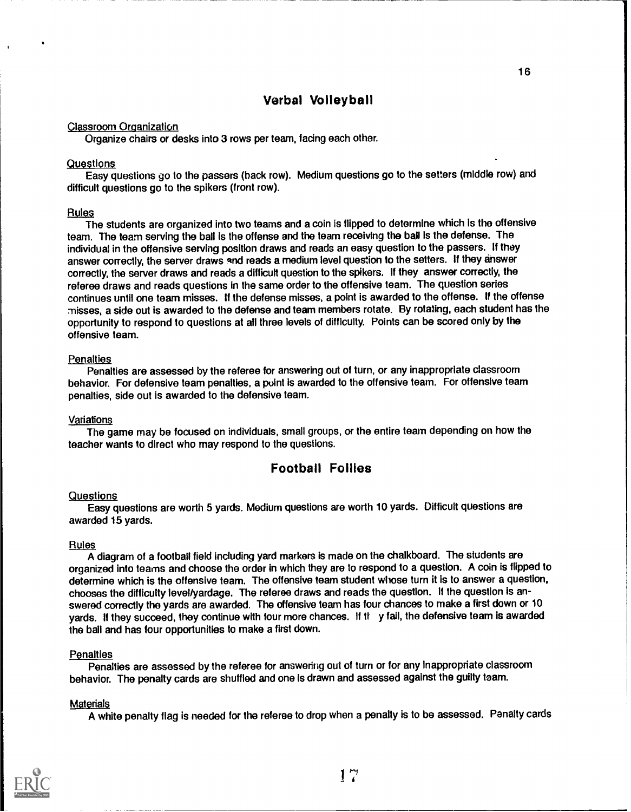### Verbal Volleyball

### Classroom Organization

Organize chairs or desks into 3 rows per team, facing each other.

### **Questions**

Easy questions go to the passers (back row). Medium questions go to the setters (middle row) and difficult questions go to the spikers (front row).

#### Rules

The students are organized into two teams and a coin is flipped to determine which is the offensive team. The team serving the ball is the offense and the team receiving the ball Is the defense. The individual in the offensive serving position draws and reads an easy question to the passers. If they answer correctly, the server draws and reads a medium level question to the setters. If they answer correctly, the server draws and reads a difficult question to the spikers. If they answer correctly, the referee draws and reads questions in the same order to the offensive team. The question series continues until one team misses. If the defense misses, a point is awarded to the offense. If the offense misses, a side out is awarded to the defense and team members rotate. By rotating, each student has the opportunity to respond to questions at all three levels of difficulty. Points can be scored only by the offensive team.

### **Penalties**

Penalties are assessed by the referee for answering out of turn, or any inappropriate classroom behavior. For defensive team penalties, a point is awarded to the offensive team. For offensive team penalties, side out is awarded to the defensive team.

### Variations

The game may be focused on individuals, small groups, or the entire team depending on how the teacher wants to direct who may respond to the questions.

### Football Follies

#### **Questions**

Easy questions are worth 5 yards. Medium questions are worth 10 yards. Difficult questions are awarded 15 yards.

#### **Rules**

A diagram of a football field including yard markers is made on the chalkboard. The students are organized into teams and choose the order in which they are to respond to a question. A coin is flipped to determine which is the offensive team. The offensive team student whose turn it is to answer a question, chooses the difficulty level/vardage. The referee draws and reads the question. If the question is answered correctly the yards are awarded. The offensive team has four chances to make a first down or 10 yards. If they succeed, they continue with four more chances. If the y fail, the defensive team is awarded the ball and has four opportunities to make a first down.

### **Penalties**

Penalties are assessed by the referee for answering out of turn or for any inappropriate classroom behavior. The penalty cards are shuffled and one is drawn and assessed against the guilty team.

### **Materials**

A white penalty flag is needed for the referee to drop when a penalty is to be assessed. Penalty cards

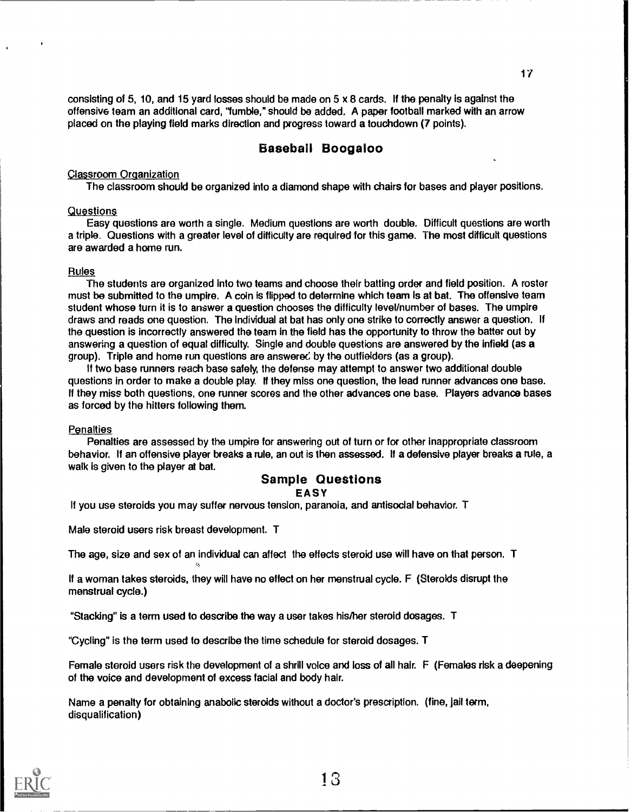consisting of 5, 10, and 15 yard losses should be made on 5 x 8 cards. If the penalty is against the offensive team an additional card, "fumble," should be added. A paper football marked with an arrow placed on the playing field marks direction and progress toward a touchdown (7 points).

### Baseball Boogaioo

#### Classroom Organization

The classroom should be organized into a diamond shape with chairs for bases and player positions.

#### **Questions**

Easy questions are worth a single. Medium questions are worth double. Difficult questions are worth a triple. Questions with a greater level of difficulty are required for this game. The most difficult questions are awarded a home run.

### Rules

The students are organized into two teams and choose their batting order and field position. A roster must be submitted to the umpire. A coin is flipped to determine which team is at bat. The offensive team student whose turn it is to answer a question chooses the difficulty level/number of bases. The umpire draws and reads one question. The Individual at bat has only one strike to correctly answer a question. If the question is incorrectly answered the team in the field has the opportunity to throw the batter out by answering a question of equal difficulty. Single and double questions are answered by the infield (as a group). Triple and home run questions are answerer: by the outfielders (as a group).

If two base runners reach base safely, the defense may attempt to answer two additional double questions in order to make a double play. If they miss one question, the lead runner advances one base. If they miss both questions, one runner scores and the other advances one base. Players advance bases as forced by the hitters following them.

#### **Penalties**

Penalties are assessed by the umpire for answering out of turn or for other inappropriate classroom behavior. If an offensive player breaks a rule, an out is then assessed. If a defensive player breaks a rule, a walk is given to the player at bat.

### Sample Questions

#### EASY

If you use steroids you may suffer nervous tension, paranoia, and antisocial behavior. T

Male steroid users risk breast development. T

The age, size and sex of an individual can affect the effects steroid use will have on that person. T

If a woman takes steroids, they will have no effect on her menstrual cycle. F (Steroids disrupt the menstrual cycle.)

"Stacking" is a term used to describe the way a user takes his/her steroid dosages. T

"Cycling" is the term used to describe the time schedule for steroid dosages. T

Female steroid users risk the development of a shrill voice and loss of all hair. F (Females risk a deepening of the voice and development of excess facial and body hair.

Name a penalty for obtaining anabolic steroids without a doctor's prescription. (fine, jail term, disqualification)

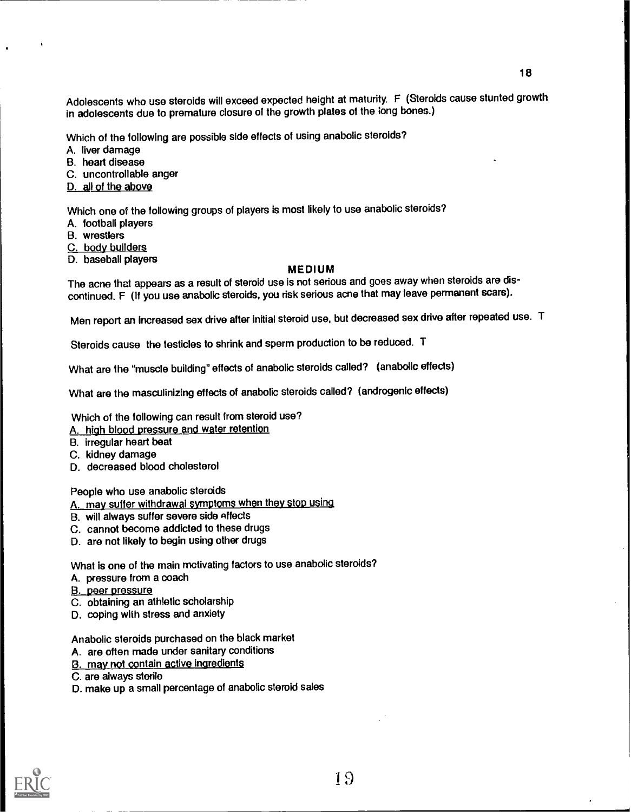Adolescents who use steroids will exceed expected height at maturity. F (Steroids cause stunted growth in adolescents due to premature closure of the growth plates of the long bones.)

Which of the following are possible side effects of using anabolic steroids?

- A. liver damage
- B. heart disease
- C. uncontrollable anger
- D. all of the above

Which one of the following groups of players is most likely to use anabolic steroids?

- A. football players
- B. wrestlers

C. body builders

D. baseball players

### MEDIUM

The acne that appears as a result of steroid use is not serious and goes away when steroids are discontinued. F (If you use anabolic steroids, you risk serious acne that may leave permanent scars).

Men report an increased sex drive after initial steroid use, but decreased sex drive after repeated use. T

Steroids cause the testicles to shrink and sperm production to be reduced. T

What are the "muscle building" effects of anabolic steroids called? (anabolic effects)

What are the masculinizing effects of anabolic steroids called? (androgenic effects)

Which of the following can result from steroid use?

- A. high blood pressure and water retention
- B. irregular heart beat
- C. kidney damage
- D. decreased blood cholesterol

People who use anabolic steroids

A. may suffer withdrawal symptoms when they stop using

- B. will always suffer severe side Affects
- C. cannot become addicted to these drugs
- D. are not likely to begin using other drugs

What is one of the main motivating factors to use anabolic steroids?

- A. pressure from a coach
- B. peer pressure
- C. obtaining an athletic scholarship
- D. coping with stress and anxiety

Anabolic steroids purchased on the black market

- A. are often made under sanitary conditions
- **B.** may not contain active ingredients
- C. are always sterile
- D. make up a small percentage of anabolic steroid sales

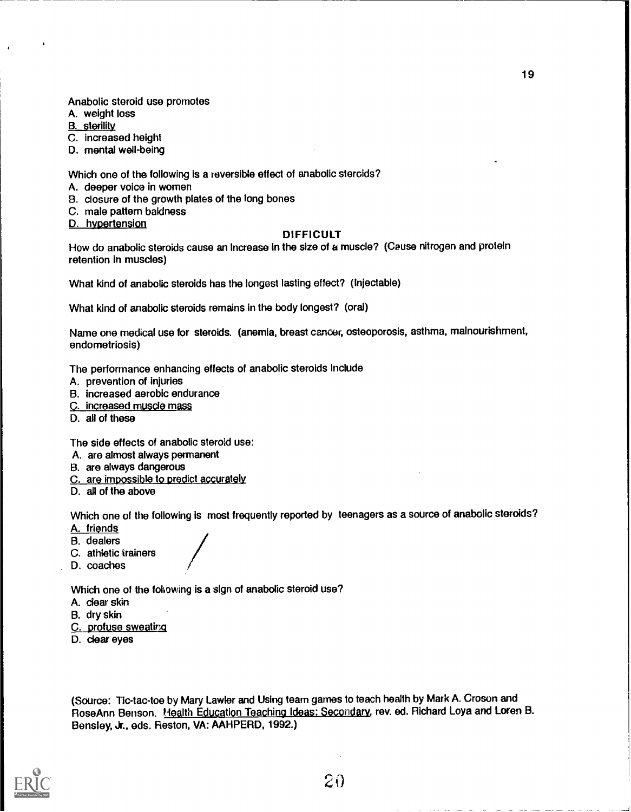Anabolic steroid use promotes

- A. weight loss
- B. sterility
- C. increased height
- D. mental well-being

Which one of the following is a reversible effect of anabolic steroids?

- A. deeper voice in women
- B. closure of the growth plates of the long bones
- C. male pattern baldness
- D. hypertension

### DIFFICULT

How do anabolic steroids cause an Increase in the size of a muscle? (Cause nitrogen and protein retention in muscles)

What kind of anabolic steroids has the longest lasting effect? (Injectable)

What kind of anabolic steroids remains in the body longest? (oral)

Name one medical use for steroids. (anemia, breast cancer, osteoporosis, asthma, malnourishment, endometriosis)

The performance enhancing effects of anabolic steroids include

- A. prevention of injuries
- B. increased aerobic endurance
- C. increased muscle mass
- D. all of these

The side effects of anabolic steroid use:

- A. are almost always permanent
- B. are always dangerous
- C. are impossible to predict accurately
- D. all of the above

Which one of the following is most frequently reported by teenagers as a source of anabolic steroids?

- A. friends
- B. dealers
- C. athletic trainers
- D. coaches

Which one of the following is a sign of anabolic steroid use?

- A. dear skin
- B. dry skin
- C. profuse sweating
- D. clear eyes

(Source: Tic-tac-toe by Mary Lawler and Using team games to teach health by Mark A. Croson and RoseAnn Benson. Health Education Teaching Ideas: Secondary, rev. ed. Richard Loya and Loren B. Bensley, Jr., eds. Reston, VA: AAHPERD, 1992.)

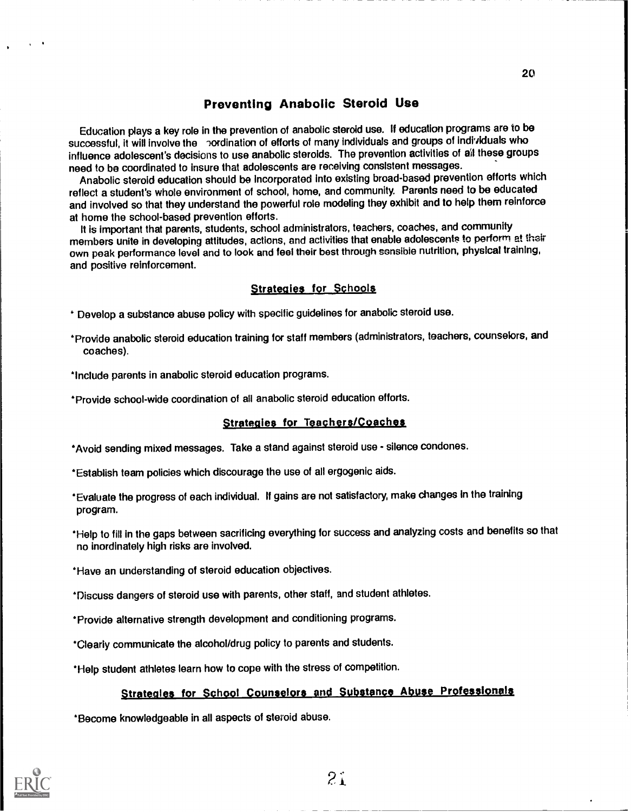### Preventing Anabolic Steroid Use

Education plays a key role in the prevention of anabolic steroid use. If education programs are to be successful, it will involve the -ordination of efforts of many individuals and groups of individuals who influence adolescent's decisions to use anabolic steroids. The prevention activities of all these groups need to be coordinated to insure that adolescents are receiving consistent messages.

Anabolic steroid education should be incorporated into existing broad-based prevention efforts which reflect a student's whole environment of school, home, and community. Parents need to be educated and involved so that they understand the powerful role modeling they exhibit and to help them reinforce at home the school-based prevention efforts.

It is important that parents, students, school administrators, teachers, coaches, and community members unite in developing attitudes, actions, and activities that enable adolescents to perform at their own peak performance level and to look and feel their best through sensible nutrition, physical training, and positive reinforcement.

#### Strategies for Schools

Develop a substance abuse policy with specific guidelines for anabolic steroid use.

'Provide anabolic steroid education training for staff members (administrators, teachers, counselors, and coaches).

'Include parents in anabolic steroid education programs.

\*Provide school-wide coordination of all anabolic steroid education efforts.

#### Strategies for Teachers/Coaches

'Avoid sending mixed messages. Take a stand against steroid use - silence condones.

'Establish team policies which discourage the use of all ergogenic aids.

'Evaluate the progress of each individual. If gains are not satisfactory, make changes in the training program.

'Help to fill in the gaps between sacrificing everything for success and analyzing costsand benefits so that no inordinately high risks are involved.

'Have an understanding of steroid education objectives.

'Discuss dangers of steroid use with parents, other staff, and student athletes.

'Provide alternative strength development and conditioning programs.

'Clearly communicate the alcohol/drug policy to parents and students.

'Help student athletes learn how to cope with the stress of competition.

### Strateaies for School Counselors and Substance Abuse Professionals

'Become knowledgeable in all aspects of steroid abuse.

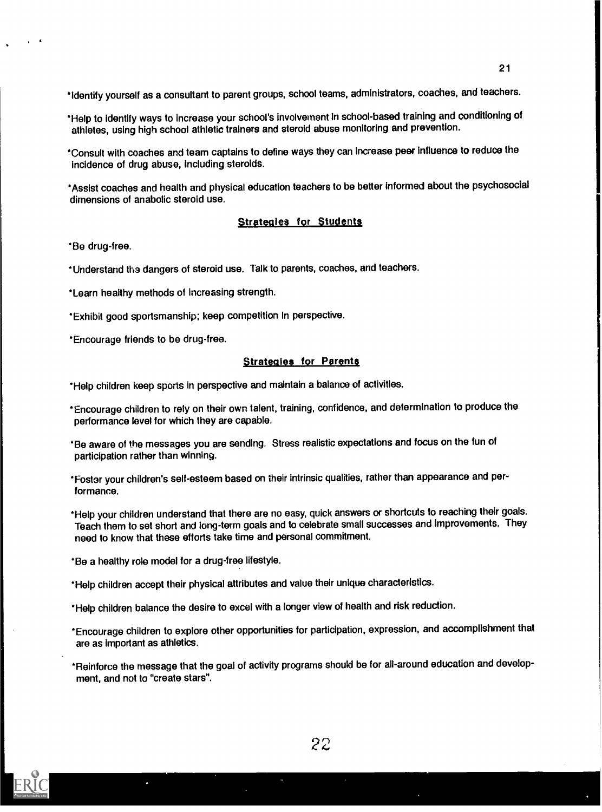\*Identify yourself as a consultant to parent groups, school teams, administrators, coaches, and teachers.

'Help to identify ways to increase your school's involvement in school-based training and conditioning of athletes, using high school athletic trainers and steroid abuse monitoring and prevention.

'Consult with coaches and team captains to define ways they can increase peer influence to reduce the incidence of drug abuse, including steroids.

'Assist coaches and health and physical education teachers to be better informed about the psychosocial dimensions of anabolic steroid use.

### Strategies for Students

\*Be drug-free.

'Understand the dangers of steroid use. Talk to parents, coaches, and teachers.

\*Learn healthy methods of increasing strength.

'Exhibit good sportsmanship; keep competition In perspective.

'Encourage friends to be drug-free.

### Strategies for Parents

\*Help children keep sports in perspective and maintain a balance of activities.

- 'Encourage children to rely on their own talent, training, confidence, and determination to produce the performance level for which they are capable.
- \*Be aware of the messages you are sending. Stress realistic expectations and focus on the fun of participation rather than winning.
- \*Foster your children's self-esteem based on their intrinsic qualities, rather than appearance and performance.
- 'Help your children understand that there are no easy, quick answers or shortcuts to reaching their goals. Teach them to set short and long-term goals and to celebrate small successes and Improvements. They need to know that these efforts take time and personal commitment.

\*Be a healthy role model for a drug-free lifestyle.

'Help children accept their physical attributes and value their unique characteristics.

- 'Help children balance the desire to excel with a longer view of health and risk reduction.
- 'Encourage children to explore other opportunities for participation, expression, and accomplishment that are as important as athletics.
- 'Reinforce the message that the goal of activity programs should be for all-around education and development, and not to "create stars".

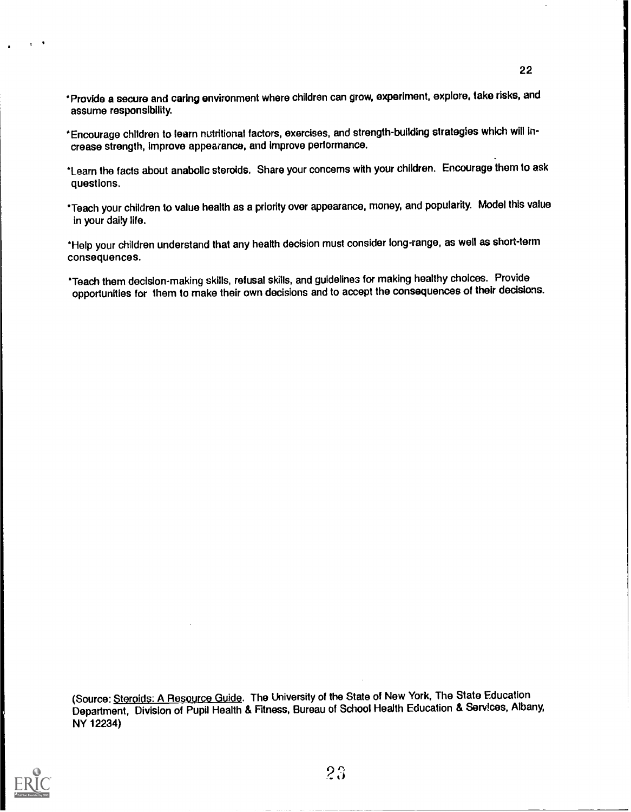- 'Provide a secure and caring environment where children can grow, experiment, explore, take risks, and assume responsibility.
- `Encourage children to learn nutritional factors, exercises, and strength-building strategies which will increase strength, improve appearance, and Improve performance.
- `Learn the facts about anabolic steroids. Share your concerns with your children. Encourage them to ask questions.
- \*Teach your children to value health as a priority over appearance, money, and popularity. Model this value in your daily life.

"Help your children understand that any health decision must consider long-range, as well as short-term consequences.

'Teach them decision-making skills, refusal skills, and guidelines for making healthy choices. Provide opportunities for them to make their own decisions and to accept the consequences of their decisions.

(Source: Steroids; A Resource Guide. The University of the State of NewYork, The State Education Department, Division of Pupil Health & Fitness, Bureau of School Health Education & Services, Albany, NY 12234)



I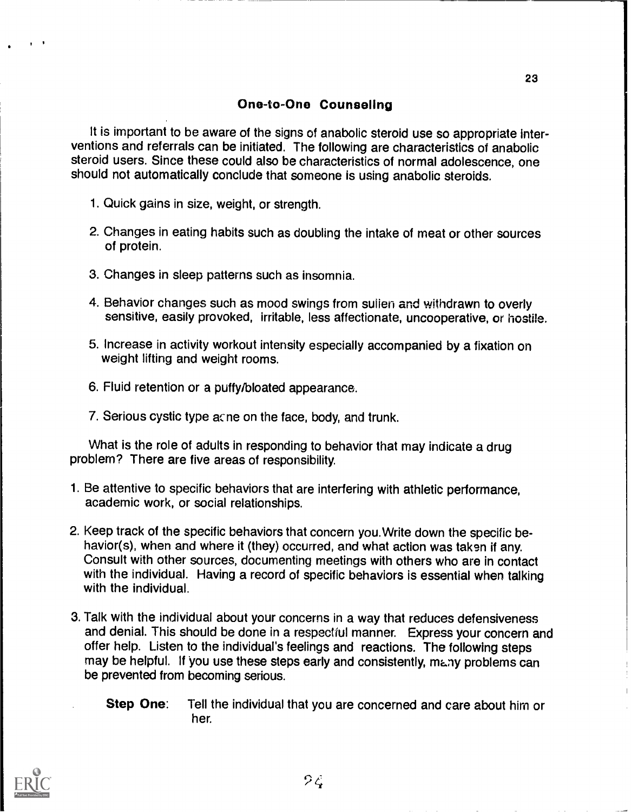It is important to be aware of the signs of anabolic steroid use so appropriate interventions and referrals can be initiated. The following are characteristics of anabolic steroid users. Since these could also be characteristics of normal adolescence, one should not automatically conclude that someone is using anabolic steroids.

- 1. Quick gains in size, weight, or strength.
- 2. Changes in eating habits such as doubling the intake of meat or other sources of protein.
- 3. Changes in sleep patterns such as insomnia.
- 4. Behavior changes such as mood swings from sullen and withdrawn to overly sensitive, easily provoked, irritable, less affectionate, uncooperative, or hostile.
- 5. Increase in activity workout intensity especially accompanied by a fixation on weight lifting and weight rooms.
- 6. Fluid retention or a puffy/bloated appearance.
- 7. Serious cystic type acne on the face, body, and trunk.

What is the role of adults in responding to behavior that may indicate a drug problem? There are five areas of responsibility.

- 1. Be attentive to specific behaviors that are interfering with athletic performance, academic work, or social relationships.
- 2. Keep track of the specific behaviors that concern you.Write down the specific behavior(s), when and where it (they) occurred, and what action was taken if any. Consult with other sources, documenting meetings with others who are in contact with the individual. Having a record of specific behaviors is essential when talking with the individual.
- 3. Talk with the individual about your concerns in a way that reduces defensiveness and denial. This should be done in a respectiul manner. Express your concern and offer help. Listen to the individual's feelings and reactions. The following steps may be helpful. If you use these steps early and consistently, many problems can be prevented from becoming serious.



Step One: Tell the individual that you are concerned and care about him or her.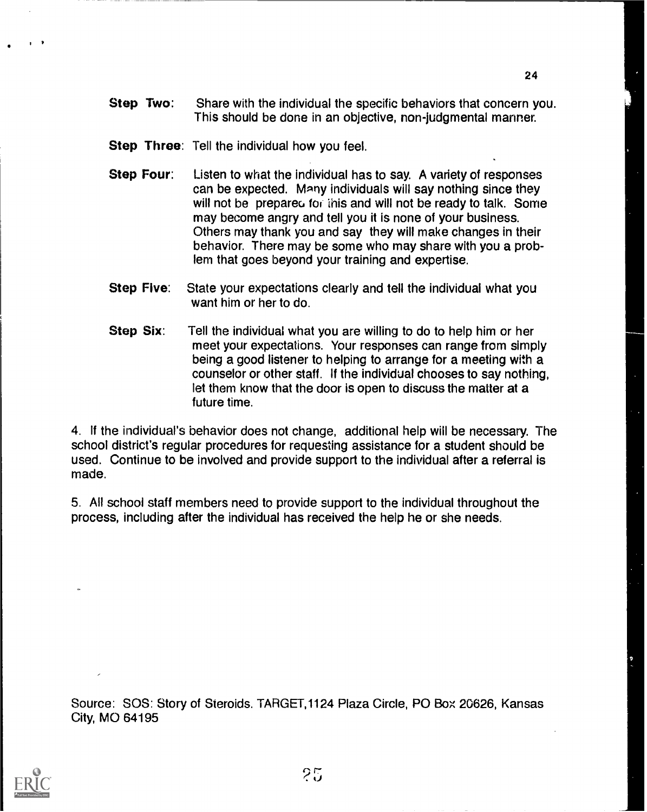- Step Two: Share with the individual the specific behaviors that concern you. This should be done in an objective, non-judgmental manner.
- Step Three: Tell the individual how you feel.
- Step Four: Listen to what the individual has to say. A variety of responses can be expected. Many individuals will say nothing since they will not be prepared for this and will not be ready to talk. Some may become angry and tell you it is none of your business. Others may thank you and say they will make changes in their behavior. There may be some who may share with you a problem that goes beyond your training and expertise.
- Step Five: State your expectations clearly and tell the individual what you want him or her to do.
- Step Six: Tell the individual what you are willing to do to help him or her meet your expectations. Your responses can range from simply being a good listener to helping to arrange for a meeting with a counselor or other staff. If the individual chooses to say nothing, let them know that the door is open to discuss the matter at a future time.

4. If the individual's behavior does not change, additional help will be necessary. The school district's regular procedures for requesting assistance for a student should be used. Continue to be involved and provide support to the individual after a referral is made.

5. All school staff members need to provide support to the individual throughout the process, including after the individual has received the help he or she needs.

Source: SOS: Story of Steroids. TARGET,1124 Plaza Circle, PO Box 20626, Kansas City, MO 64195

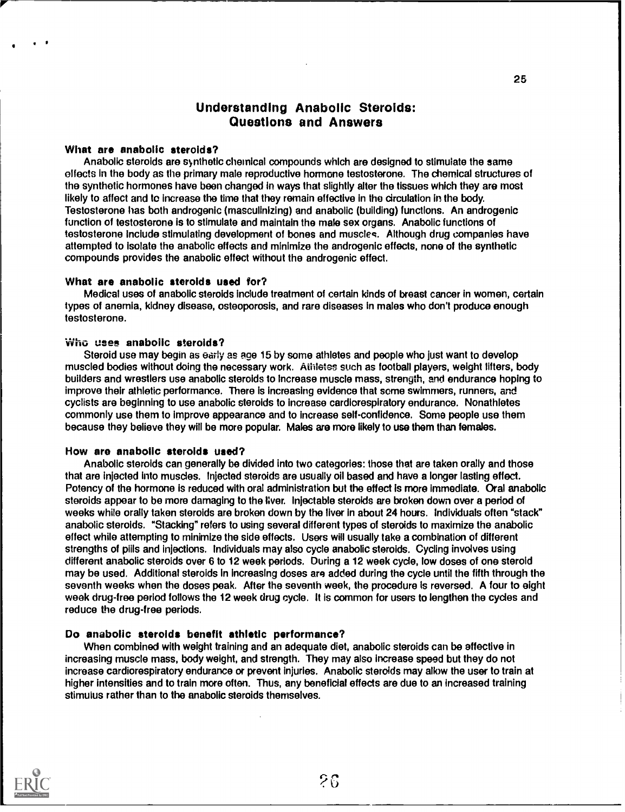# Understanding Anabolic Steroids: Questions and Answers

### What are anabolic steroids?

Anabolic steroids are synthetic chemical compounds which are designed to stimulate the same effects in the body as the primary male reproductive hormone testosterone. The chemical structures of the synthetic hormones have been changed In ways that slightly alter the tissues which they are most likely to affect and to increase the time that they remain effective in the drculation in the body. Testosterone has both androgenic (masculinizing) and anabolic (building) functions. An androgenic function of testosterone is to stimulate and maintain the male sex organs. Anabolic functions of testosterone include stimulating development of bones and muscles. Although drug companies have attempted to isolate the anabolic effects and minimize the androgenic effects, none of the synthetic compounds provides the anabolic effect without the androgenic effect.

#### What are anabolic steroids used for?

Medical uses of anabolic steroids include treatment of certain kinds of breast cancer in women, certain types of anemia, kidney disease, osteoporosis, and rare diseases in males who don't produce enough testosterone.

#### Who uses anabolic steroids?

Steroid use may begin as early as age 15 by some athletes and people who just want to develop muscled bodies without doing the necessary work. Athletes such as football players, weight lifters, body builders and wrestlers use anabolic steroids to increase muscle mass, strength, and endurance hoping to improve their athletic performance. There is increasing evidence that some swimmers, runners, and cyclists are beginning to use anabolic steroids to increase cardlorespiratory endurance. Nonathietes commonly use them to Improve appearance and to increase self-confidence. Some people use them because they believe they will be more popular. Males are more likely to use them than females.

#### How are anabolic steroids used?

Anabolic steroids can generally be divided into two categories: those that are taken orally and those that are injected into muscles. Injected steroids are usually oil based and have a longer lasting effect. Potency of the hormone is reduced with oral administration but the effect is more immediate. Oral anabolic steroids appear to be more damaging to the liver. Injectable steroids are broken down over a period of weeks while orally taken steroids are broken down by the liver in about 24 hours. Individuals often "stack" anabolic steroids. "Stacking" refers to using several different types of steroids to maximize the anabolic effect while attempting to minimize the side effects. Users will usually take a combination of different strengths of pills and injections. Individuals may also cycle anabolic steroids. Cycling involves using different anabolic steroids over 6 to 12 week periods. During a 12 week cycle, low doses of one steroid may be used. Additional steroids In Increasing doses are added during the cycle until the fifth through the seventh weeks when the doses peak. After the seventh week, the procedure is reversed. A four to eight week drug-free period follows the 12 week drug cycle. It Is common for users to lengthen the cycles and reduce the drug-free periods.

#### Do anabolic steroids benefit athletic performance?

When combined with weight training and an adequate diet, anabolic steroids can be affective in increasing muscle mass, body weight, and strength. They may also increase speed but they do not increase cardiorespiratory endurance or prevent injuries. Anabolic steroids may allow the user to train at higher intensities and to train more often. Thus, any beneficial effects are due to an increased training stimulus rather than to the anabolic steroids themselves.